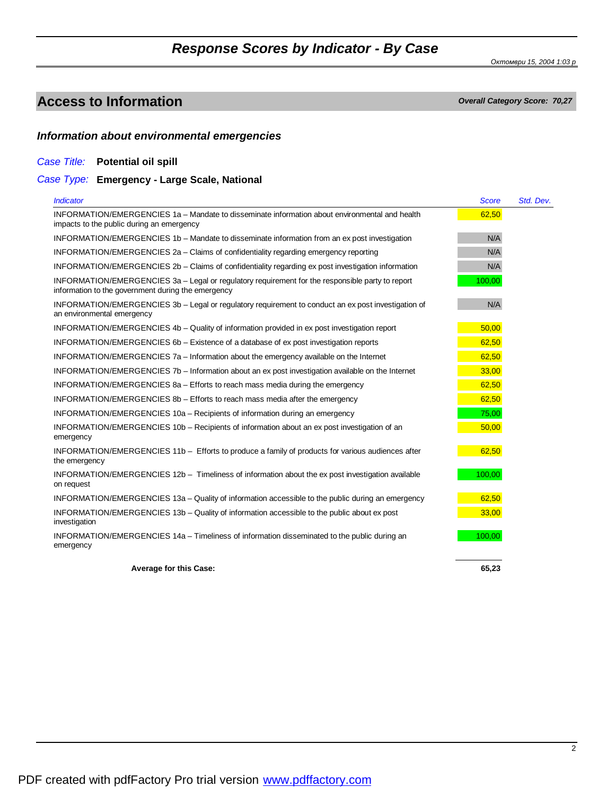*Октомври 15, 2004 1:03 p*

## **Access to Information** *Overall Category Score: 70,27*

### *Information about environmental emergencies*

### *Case Title:* **Potential oil spill**

### *Case Type:* **Emergency - Large Scale, National**

| <b>Indicator</b>                                                                                                                                       | <b>Score</b> | Std. Dev. |
|--------------------------------------------------------------------------------------------------------------------------------------------------------|--------------|-----------|
| INFORMATION/EMERGENCIES 1a - Mandate to disseminate information about environmental and health<br>impacts to the public during an emergency            | 62,50        |           |
| INFORMATION/EMERGENCIES 1b - Mandate to disseminate information from an ex post investigation                                                          | N/A          |           |
| INFORMATION/EMERGENCIES 2a - Claims of confidentiality regarding emergency reporting                                                                   | N/A          |           |
| INFORMATION/EMERGENCIES 2b - Claims of confidentiality regarding ex post investigation information                                                     | N/A          |           |
| INFORMATION/EMERGENCIES 3a - Legal or regulatory requirement for the responsible party to report<br>information to the government during the emergency | 100,00       |           |
| INFORMATION/EMERGENCIES 3b - Legal or regulatory requirement to conduct an ex post investigation of<br>an environmental emergency                      | N/A          |           |
| INFORMATION/EMERGENCIES 4b – Quality of information provided in ex post investigation report                                                           | 50,00        |           |
| INFORMATION/EMERGENCIES 6b - Existence of a database of ex post investigation reports                                                                  | 62,50        |           |
| INFORMATION/EMERGENCIES 7a - Information about the emergency available on the Internet                                                                 | 62,50        |           |
| INFORMATION/EMERGENCIES 7b – Information about an ex post investigation available on the Internet                                                      | 33,00        |           |
| INFORMATION/EMERGENCIES 8a - Efforts to reach mass media during the emergency                                                                          | 62,50        |           |
| INFORMATION/EMERGENCIES 8b - Efforts to reach mass media after the emergency                                                                           | 62,50        |           |
| INFORMATION/EMERGENCIES 10a - Recipients of information during an emergency                                                                            | 75,00        |           |
| INFORMATION/EMERGENCIES 10b – Recipients of information about an ex post investigation of an<br>emergency                                              | 50,00        |           |
| INFORMATION/EMERGENCIES 11b - Efforts to produce a family of products for various audiences after<br>the emergency                                     | 62,50        |           |
| INFORMATION/EMERGENCIES 12b - Timeliness of information about the ex post investigation available<br>on request                                        | 100,00       |           |
| INFORMATION/EMERGENCIES 13a - Quality of information accessible to the public during an emergency                                                      | 62,50        |           |
| INFORMATION/EMERGENCIES 13b - Quality of information accessible to the public about ex post<br>investigation                                           | 33,00        |           |
| INFORMATION/EMERGENCIES 14a – Timeliness of information disseminated to the public during an<br>emergency                                              | 100,00       |           |
| <b>Average for this Case:</b>                                                                                                                          | 65,23        |           |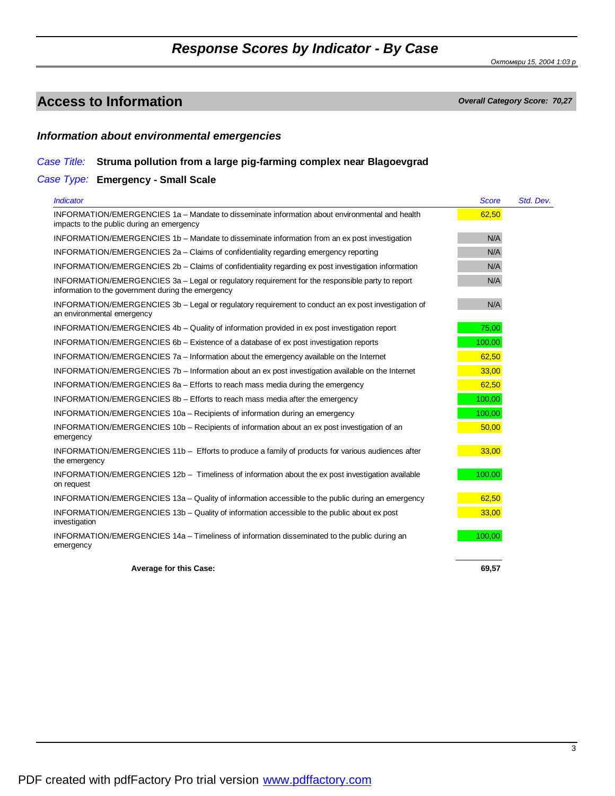*Октомври 15, 2004 1:03 p*

## **Access to Information** *Overall Category Score: 70,27*

### *Information about environmental emergencies*

#### *Case Title:* **Struma pollution from a large pig-farming complex near Blagoevgrad**

### *Case Type:* **Emergency - Small Scale**

| <b>Indicator</b>                                                                                                                                       | <b>Score</b> | Std. Dev. |
|--------------------------------------------------------------------------------------------------------------------------------------------------------|--------------|-----------|
| INFORMATION/EMERGENCIES 1a - Mandate to disseminate information about environmental and health<br>impacts to the public during an emergency            | 62,50        |           |
| INFORMATION/EMERGENCIES 1b - Mandate to disseminate information from an ex post investigation                                                          | N/A          |           |
| INFORMATION/EMERGENCIES 2a - Claims of confidentiality regarding emergency reporting                                                                   | N/A          |           |
| INFORMATION/EMERGENCIES 2b - Claims of confidentiality regarding ex post investigation information                                                     | N/A          |           |
| INFORMATION/EMERGENCIES 3a - Legal or regulatory requirement for the responsible party to report<br>information to the government during the emergency | N/A          |           |
| INFORMATION/EMERGENCIES 3b - Legal or regulatory requirement to conduct an ex post investigation of<br>an environmental emergency                      | N/A          |           |
| INFORMATION/EMERGENCIES 4b - Quality of information provided in ex post investigation report                                                           | 75,00        |           |
| INFORMATION/EMERGENCIES 6b – Existence of a database of ex post investigation reports                                                                  | 100,00       |           |
| INFORMATION/EMERGENCIES 7a - Information about the emergency available on the Internet                                                                 | 62,50        |           |
| INFORMATION/EMERGENCIES 7b – Information about an ex post investigation available on the Internet                                                      | 33,00        |           |
| INFORMATION/EMERGENCIES 8a - Efforts to reach mass media during the emergency                                                                          | 62,50        |           |
| INFORMATION/EMERGENCIES 8b – Efforts to reach mass media after the emergency                                                                           | 100,00       |           |
| INFORMATION/EMERGENCIES 10a - Recipients of information during an emergency                                                                            | 100,00       |           |
| INFORMATION/EMERGENCIES 10b - Recipients of information about an ex post investigation of an<br>emergency                                              | 50,00        |           |
| INFORMATION/EMERGENCIES 11b - Efforts to produce a family of products for various audiences after<br>the emergency                                     | 33,00        |           |
| INFORMATION/EMERGENCIES 12b - Timeliness of information about the ex post investigation available<br>on request                                        | 100,00       |           |
| INFORMATION/EMERGENCIES 13a - Quality of information accessible to the public during an emergency                                                      | 62,50        |           |
| INFORMATION/EMERGENCIES 13b - Quality of information accessible to the public about ex post<br>investigation                                           | 33,00        |           |
| INFORMATION/EMERGENCIES 14a - Timeliness of information disseminated to the public during an<br>emergency                                              | 100,00       |           |
| <b>Average for this Case:</b>                                                                                                                          | 69,57        |           |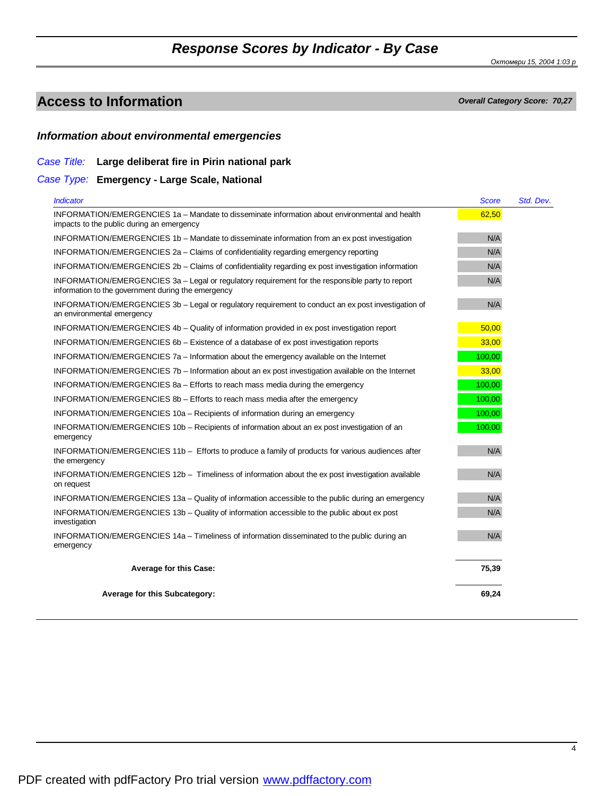*Октомври 15, 2004 1:03 p*

## **Access to Information** *Overall Category Score: 70,27*

### *Information about environmental emergencies*

### *Case Title:* **Large deliberat fire in Pirin national park**

*Case Type:* **Emergency - Large Scale, National**

| <b>Indicator</b>                                                                                                                                       | <b>Score</b> | Std. Dev. |
|--------------------------------------------------------------------------------------------------------------------------------------------------------|--------------|-----------|
| INFORMATION/EMERGENCIES 1a - Mandate to disseminate information about environmental and health<br>impacts to the public during an emergency            | 62,50        |           |
| INFORMATION/EMERGENCIES 1b - Mandate to disseminate information from an ex post investigation                                                          | N/A          |           |
| INFORMATION/EMERGENCIES 2a - Claims of confidentiality regarding emergency reporting                                                                   | N/A          |           |
| INFORMATION/EMERGENCIES 2b - Claims of confidentiality regarding ex post investigation information                                                     | N/A          |           |
| INFORMATION/EMERGENCIES 3a - Legal or regulatory requirement for the responsible party to report<br>information to the government during the emergency | N/A          |           |
| INFORMATION/EMERGENCIES 3b - Legal or regulatory requirement to conduct an ex post investigation of<br>an environmental emergency                      | N/A          |           |
| INFORMATION/EMERGENCIES 4b - Quality of information provided in ex post investigation report                                                           | 50,00        |           |
| INFORMATION/EMERGENCIES 6b – Existence of a database of ex post investigation reports                                                                  | 33,00        |           |
| INFORMATION/EMERGENCIES 7a - Information about the emergency available on the Internet                                                                 | 100,00       |           |
| INFORMATION/EMERGENCIES 7b – Information about an ex post investigation available on the Internet                                                      | 33,00        |           |
| INFORMATION/EMERGENCIES 8a - Efforts to reach mass media during the emergency                                                                          | 100,00       |           |
| INFORMATION/EMERGENCIES 8b - Efforts to reach mass media after the emergency                                                                           | 100,00       |           |
| INFORMATION/EMERGENCIES 10a - Recipients of information during an emergency                                                                            | 100,00       |           |
| INFORMATION/EMERGENCIES 10b - Recipients of information about an ex post investigation of an<br>emergency                                              | 100,00       |           |
| INFORMATION/EMERGENCIES 11b - Efforts to produce a family of products for various audiences after<br>the emergency                                     | N/A          |           |
| INFORMATION/EMERGENCIES 12b - Timeliness of information about the ex post investigation available<br>on request                                        | N/A          |           |
| INFORMATION/EMERGENCIES 13a - Quality of information accessible to the public during an emergency                                                      | N/A          |           |
| INFORMATION/EMERGENCIES 13b - Quality of information accessible to the public about ex post<br>investigation                                           | N/A          |           |
| INFORMATION/EMERGENCIES 14a - Timeliness of information disseminated to the public during an<br>emergency                                              | N/A          |           |
| Average for this Case:                                                                                                                                 | 75,39        |           |
| Average for this Subcategory:                                                                                                                          | 69,24        |           |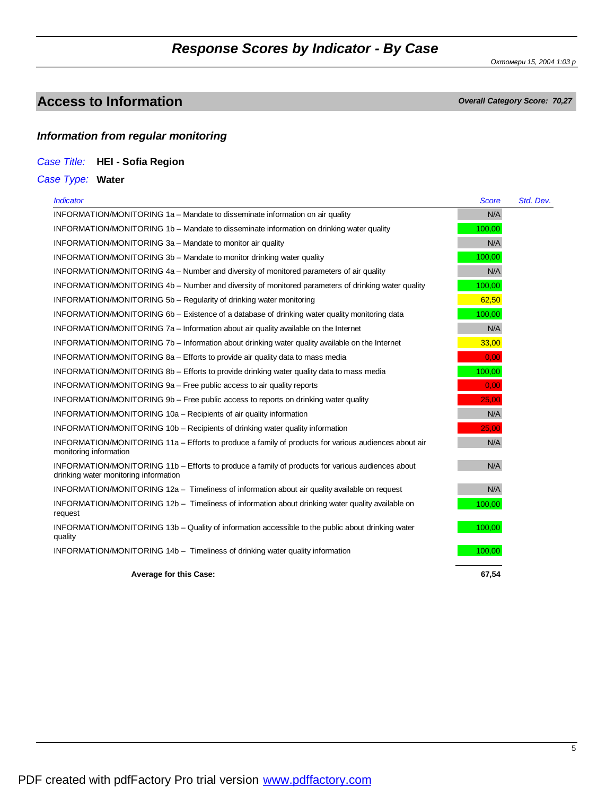*Октомври 15, 2004 1:03 p*

## **Access to Information** *Overall Category Score: 70,27*

### *Information from regular monitoring*

*Case Title:* **HEI - Sofia Region**

### *Case Type:* **Water**

| <b>Indicator</b>                                                                                                                          | <b>Score</b> | Std. Dev. |
|-------------------------------------------------------------------------------------------------------------------------------------------|--------------|-----------|
| INFORMATION/MONITORING 1a - Mandate to disseminate information on air quality                                                             | N/A          |           |
| INFORMATION/MONITORING 1b - Mandate to disseminate information on drinking water quality                                                  | 100,00       |           |
| INFORMATION/MONITORING 3a - Mandate to monitor air quality                                                                                | N/A          |           |
| INFORMATION/MONITORING 3b – Mandate to monitor drinking water quality                                                                     | 100,00       |           |
| INFORMATION/MONITORING 4a - Number and diversity of monitored parameters of air quality                                                   | N/A          |           |
| INFORMATION/MONITORING 4b – Number and diversity of monitored parameters of drinking water quality                                        | 100,00       |           |
| INFORMATION/MONITORING 5b - Regularity of drinking water monitoring                                                                       | 62,50        |           |
| INFORMATION/MONITORING 6b – Existence of a database of drinking water quality monitoring data                                             | 100,00       |           |
| INFORMATION/MONITORING 7a – Information about air quality available on the Internet                                                       | N/A          |           |
| INFORMATION/MONITORING 7b – Information about drinking water quality available on the Internet                                            | 33,00        |           |
| INFORMATION/MONITORING 8a - Efforts to provide air quality data to mass media                                                             | 0.00         |           |
| INFORMATION/MONITORING 8b - Efforts to provide drinking water quality data to mass media                                                  | 100.00       |           |
| INFORMATION/MONITORING 9a - Free public access to air quality reports                                                                     | 0,00         |           |
| INFORMATION/MONITORING 9b – Free public access to reports on drinking water quality                                                       | 25,00        |           |
| INFORMATION/MONITORING 10a - Recipients of air quality information                                                                        | N/A          |           |
| INFORMATION/MONITORING 10b - Recipients of drinking water quality information                                                             | 25,00        |           |
| INFORMATION/MONITORING 11a - Efforts to produce a family of products for various audiences about air<br>monitoring information            | N/A          |           |
| INFORMATION/MONITORING 11b - Efforts to produce a family of products for various audiences about<br>drinking water monitoring information | N/A          |           |
| INFORMATION/MONITORING 12a - Timeliness of information about air quality available on request                                             | N/A          |           |
| INFORMATION/MONITORING 12b - Timeliness of information about drinking water quality available on<br>request                               | 100,00       |           |
| INFORMATION/MONITORING 13b – Quality of information accessible to the public about drinking water<br>quality                              | 100,00       |           |
| INFORMATION/MONITORING 14b - Timeliness of drinking water quality information                                                             | 100,00       |           |
| <b>Average for this Case:</b>                                                                                                             | 67.54        |           |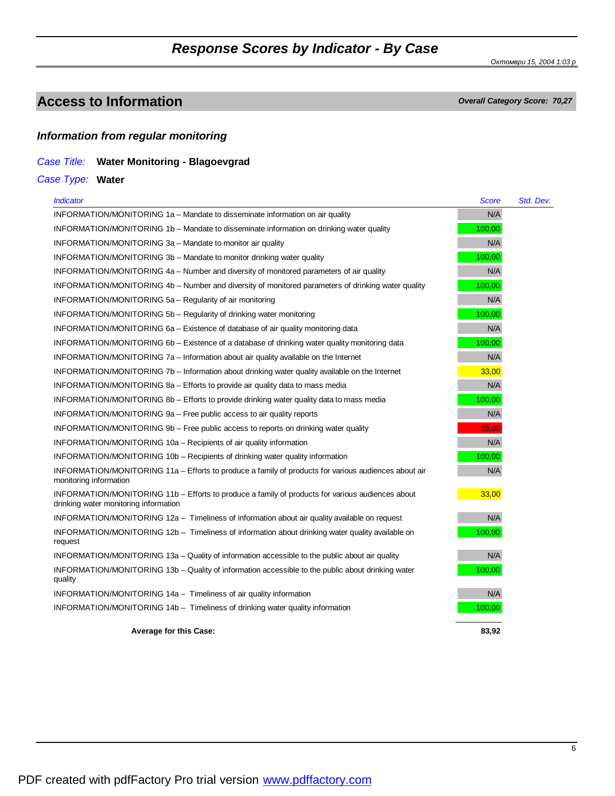*Октомври 15, 2004 1:03 p*

## **Access to Information** *Overall Category Score: 70,27*

### *Information from regular monitoring*

### *Case Title:* **Water Monitoring - Blagoevgrad**

*Case Type:* **Water**

| <b>Indicator</b>                                                                                                                          | Score  | Std. Dev. |
|-------------------------------------------------------------------------------------------------------------------------------------------|--------|-----------|
| INFORMATION/MONITORING 1a - Mandate to disseminate information on air quality                                                             | N/A    |           |
| INFORMATION/MONITORING 1b - Mandate to disseminate information on drinking water quality                                                  | 100,00 |           |
| INFORMATION/MONITORING 3a - Mandate to monitor air quality                                                                                | N/A    |           |
| INFORMATION/MONITORING 3b - Mandate to monitor drinking water quality                                                                     | 100,00 |           |
| INFORMATION/MONITORING 4a – Number and diversity of monitored parameters of air quality                                                   | N/A    |           |
| INFORMATION/MONITORING 4b - Number and diversity of monitored parameters of drinking water quality                                        | 100,00 |           |
| INFORMATION/MONITORING 5a - Regularity of air monitoring                                                                                  | N/A    |           |
| INFORMATION/MONITORING 5b - Regularity of drinking water monitoring                                                                       | 100,00 |           |
| INFORMATION/MONITORING 6a – Existence of database of air quality monitoring data                                                          | N/A    |           |
| INFORMATION/MONITORING 6b - Existence of a database of drinking water quality monitoring data                                             | 100,00 |           |
| INFORMATION/MONITORING 7a - Information about air quality available on the Internet                                                       | N/A    |           |
| INFORMATION/MONITORING 7b – Information about drinking water quality available on the Internet                                            | 33,00  |           |
| INFORMATION/MONITORING 8a - Efforts to provide air quality data to mass media                                                             | N/A    |           |
| INFORMATION/MONITORING 8b – Efforts to provide drinking water quality data to mass media                                                  | 100,00 |           |
| INFORMATION/MONITORING 9a - Free public access to air quality reports                                                                     | N/A    |           |
| INFORMATION/MONITORING 9b – Free public access to reports on drinking water quality                                                       | 25,00  |           |
| INFORMATION/MONITORING 10a - Recipients of air quality information                                                                        | N/A    |           |
| INFORMATION/MONITORING 10b - Recipients of drinking water quality information                                                             | 100,00 |           |
| INFORMATION/MONITORING 11a - Efforts to produce a family of products for various audiences about air<br>monitoring information            | N/A    |           |
| INFORMATION/MONITORING 11b - Efforts to produce a family of products for various audiences about<br>drinking water monitoring information | 33,00  |           |
| INFORMATION/MONITORING 12a - Timeliness of information about air quality available on request                                             | N/A    |           |
| INFORMATION/MONITORING 12b - Timeliness of information about drinking water quality available on<br>request                               | 100,00 |           |
| INFORMATION/MONITORING 13a - Quality of information accessible to the public about air quality                                            | N/A    |           |
| INFORMATION/MONITORING 13b - Quality of information accessible to the public about drinking water<br>quality                              | 100,00 |           |
| INFORMATION/MONITORING 14a - Timeliness of air quality information                                                                        | N/A    |           |
| INFORMATION/MONITORING 14b - Timeliness of drinking water quality information                                                             | 100,00 |           |
| <b>Average for this Case:</b>                                                                                                             | 83,92  |           |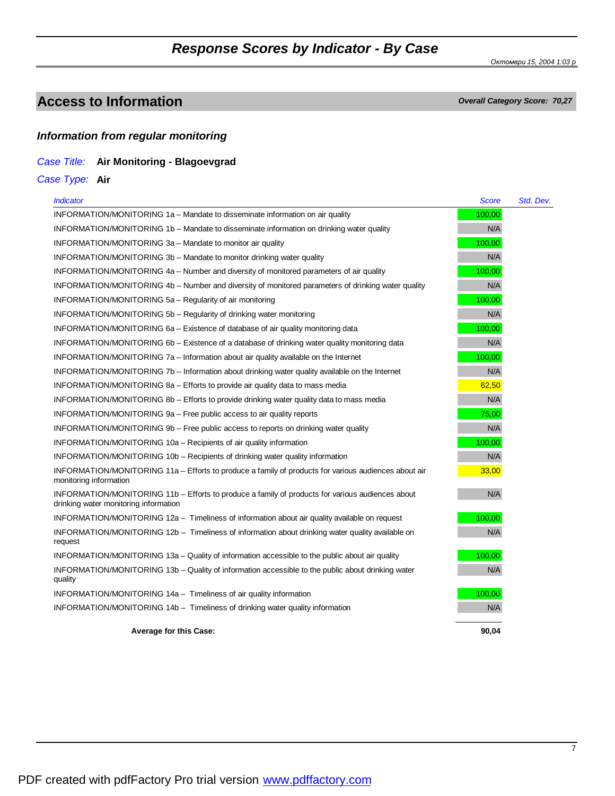*Октомври 15, 2004 1:03 p*

### **Access to Information** *Overall Category Score: 70,27*

### *Information from regular monitoring*

#### *Case Title:* **Air Monitoring - Blagoevgrad**

*Case Type:* **Air**

| <b>Indicator</b>                                                                                                                          | <b>Score</b> | Std. Dev. |
|-------------------------------------------------------------------------------------------------------------------------------------------|--------------|-----------|
| INFORMATION/MONITORING 1a - Mandate to disseminate information on air quality                                                             | 100,00       |           |
| INFORMATION/MONITORING 1b - Mandate to disseminate information on drinking water quality                                                  | N/A          |           |
| INFORMATION/MONITORING 3a - Mandate to monitor air quality                                                                                | 100,00       |           |
| INFORMATION/MONITORING 3b - Mandate to monitor drinking water quality                                                                     | N/A          |           |
| INFORMATION/MONITORING 4a – Number and diversity of monitored parameters of air quality                                                   | 100,00       |           |
| INFORMATION/MONITORING 4b – Number and diversity of monitored parameters of drinking water quality                                        | N/A          |           |
| INFORMATION/MONITORING 5a - Regularity of air monitoring                                                                                  | 100,00       |           |
| INFORMATION/MONITORING 5b - Regularity of drinking water monitoring                                                                       | N/A          |           |
| INFORMATION/MONITORING 6a – Existence of database of air quality monitoring data                                                          | 100,00       |           |
| INFORMATION/MONITORING 6b – Existence of a database of drinking water quality monitoring data                                             | N/A          |           |
| INFORMATION/MONITORING 7a – Information about air quality available on the Internet                                                       | 100,00       |           |
| INFORMATION/MONITORING 7b – Information about drinking water quality available on the Internet                                            | N/A          |           |
| INFORMATION/MONITORING 8a - Efforts to provide air quality data to mass media                                                             | 62,50        |           |
| INFORMATION/MONITORING 8b – Efforts to provide drinking water quality data to mass media                                                  | N/A          |           |
| INFORMATION/MONITORING 9a – Free public access to air quality reports                                                                     | 75,00        |           |
| INFORMATION/MONITORING 9b – Free public access to reports on drinking water quality                                                       | N/A          |           |
| INFORMATION/MONITORING 10a - Recipients of air quality information                                                                        | 100,00       |           |
| INFORMATION/MONITORING 10b – Recipients of drinking water quality information                                                             | N/A          |           |
| INFORMATION/MONITORING 11a - Efforts to produce a family of products for various audiences about air<br>monitoring information            | 33,00        |           |
| INFORMATION/MONITORING 11b - Efforts to produce a family of products for various audiences about<br>drinking water monitoring information | N/A          |           |
| INFORMATION/MONITORING 12a - Timeliness of information about air quality available on request                                             | 100,00       |           |
| INFORMATION/MONITORING 12b - Timeliness of information about drinking water quality available on<br>request                               | N/A          |           |
| INFORMATION/MONITORING 13a - Quality of information accessible to the public about air quality                                            | 100,00       |           |
| INFORMATION/MONITORING 13b - Quality of information accessible to the public about drinking water<br>quality                              | N/A          |           |
| INFORMATION/MONITORING 14a - Timeliness of air quality information                                                                        | 100,00       |           |
| INFORMATION/MONITORING 14b - Timeliness of drinking water quality information                                                             | N/A          |           |
| <b>Average for this Case:</b>                                                                                                             | 90.04        |           |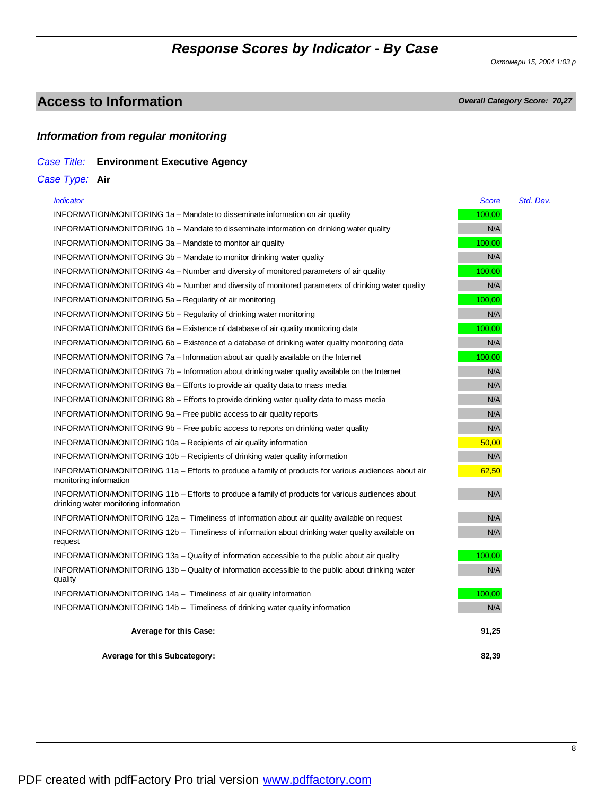*Октомври 15, 2004 1:03 p*

## **Access to Information** *Overall Category Score: 70,27*

#### *Information from regular monitoring*

### *Case Title:* **Environment Executive Agency**

*Case Type:* **Air**

| <i><u><b>Indicator</b></u></i>                                                                                                            | Score  | Std. Dev. |
|-------------------------------------------------------------------------------------------------------------------------------------------|--------|-----------|
| INFORMATION/MONITORING 1a – Mandate to disseminate information on air quality                                                             | 100,00 |           |
| INFORMATION/MONITORING 1b – Mandate to disseminate information on drinking water quality                                                  | N/A    |           |
| INFORMATION/MONITORING 3a - Mandate to monitor air quality                                                                                | 100,00 |           |
| INFORMATION/MONITORING 3b – Mandate to monitor drinking water quality                                                                     | N/A    |           |
| INFORMATION/MONITORING 4a – Number and diversity of monitored parameters of air quality                                                   | 100,00 |           |
| INFORMATION/MONITORING 4b – Number and diversity of monitored parameters of drinking water quality                                        | N/A    |           |
| INFORMATION/MONITORING 5a - Regularity of air monitoring                                                                                  | 100,00 |           |
| INFORMATION/MONITORING 5b – Regularity of drinking water monitoring                                                                       | N/A    |           |
| INFORMATION/MONITORING 6a – Existence of database of air quality monitoring data                                                          | 100,00 |           |
| INFORMATION/MONITORING 6b – Existence of a database of drinking water quality monitoring data                                             | N/A    |           |
| INFORMATION/MONITORING $7a$ – Information about air quality available on the Internet                                                     | 100,00 |           |
| INFORMATION/MONITORING 7b – Information about drinking water quality available on the Internet                                            | N/A    |           |
| INFORMATION/MONITORING 8a – Efforts to provide air quality data to mass media                                                             | N/A    |           |
| INFORMATION/MONITORING 8b – Efforts to provide drinking water quality data to mass media                                                  | N/A    |           |
| INFORMATION/MONITORING 9a – Free public access to air quality reports                                                                     | N/A    |           |
| INFORMATION/MONITORING 9b – Free public access to reports on drinking water quality                                                       | N/A    |           |
| INFORMATION/MONITORING 10a – Recipients of air quality information                                                                        | 50.00  |           |
| INFORMATION/MONITORING 10b – Recipients of drinking water quality information                                                             | N/A    |           |
| INFORMATION/MONITORING 11a – Efforts to produce a family of products for various audiences about air<br>monitoring information            | 62,50  |           |
| INFORMATION/MONITORING 11b - Efforts to produce a family of products for various audiences about<br>drinking water monitoring information | N/A    |           |
| INFORMATION/MONITORING 12a - Timeliness of information about air quality available on request                                             | N/A    |           |
| INFORMATION/MONITORING 12b – Timeliness of information about drinking water quality available on<br>request                               | N/A    |           |
| INFORMATION/MONITORING 13a – Quality of information accessible to the public about air quality                                            | 100,00 |           |
| INFORMATION/MONITORING 13b – Quality of information accessible to the public about drinking water<br>quality                              | N/A    |           |
| INFORMATION/MONITORING 14a - Timeliness of air quality information                                                                        | 100.00 |           |
| INFORMATION/MONITORING 14b - Timeliness of drinking water quality information                                                             | N/A    |           |
| <b>Average for this Case:</b>                                                                                                             | 91,25  |           |
| <b>Average for this Subcategory:</b>                                                                                                      | 82,39  |           |
|                                                                                                                                           |        |           |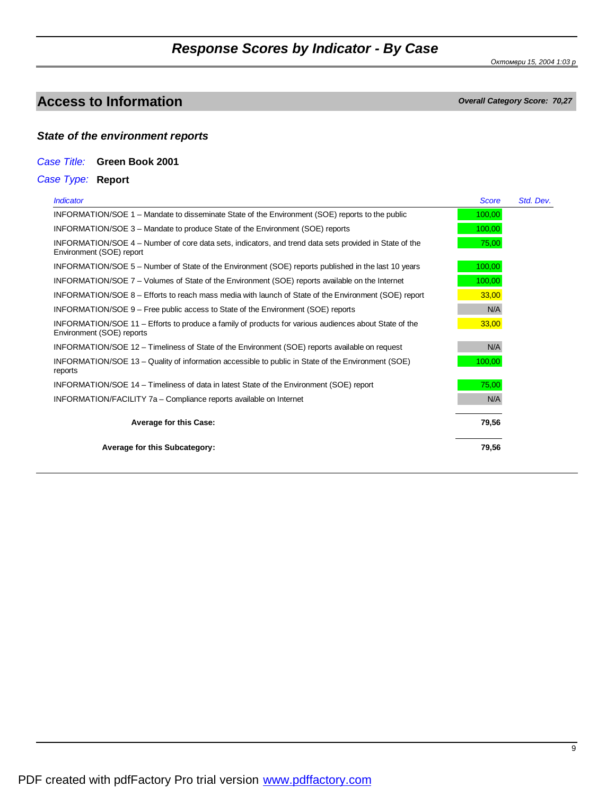*Октомври 15, 2004 1:03 p*

## **Access to Information** *Overall Category Score: 70,27*

### *State of the environment reports*

#### *Case Title:* **Green Book 2001**

### *Case Type:* **Report**

| <b>Indicator</b>                                                                                                                   | <b>Score</b> | Std. Dev. |
|------------------------------------------------------------------------------------------------------------------------------------|--------------|-----------|
| INFORMATION/SOE 1 – Mandate to disseminate State of the Environment (SOE) reports to the public                                    | 100,00       |           |
| INFORMATION/SOE 3 – Mandate to produce State of the Environment (SOE) reports                                                      | 100,00       |           |
| INFORMATION/SOE 4 – Number of core data sets, indicators, and trend data sets provided in State of the<br>Environment (SOE) report | 75,00        |           |
| INFORMATION/SOE 5 – Number of State of the Environment (SOE) reports published in the last 10 years                                | 100,00       |           |
| INFORMATION/SOE 7 – Volumes of State of the Environment (SOE) reports available on the Internet                                    | 100,00       |           |
| INFORMATION/SOE 8 – Efforts to reach mass media with launch of State of the Environment (SOE) report                               | 33,00        |           |
| INFORMATION/SOE 9 – Free public access to State of the Environment (SOE) reports                                                   | N/A          |           |
| INFORMATION/SOE 11 – Efforts to produce a family of products for various audiences about State of the<br>Environment (SOE) reports | 33,00        |           |
| INFORMATION/SOE 12 – Timeliness of State of the Environment (SOE) reports available on request                                     | N/A          |           |
| INFORMATION/SOE 13 – Quality of information accessible to public in State of the Environment (SOE)<br>reports                      | 100,00       |           |
| INFORMATION/SOE 14 – Timeliness of data in latest State of the Environment (SOE) report                                            | 75,00        |           |
| INFORMATION/FACILITY 7a - Compliance reports available on Internet                                                                 | N/A          |           |
| <b>Average for this Case:</b>                                                                                                      | 79,56        |           |
| <b>Average for this Subcategory:</b>                                                                                               | 79,56        |           |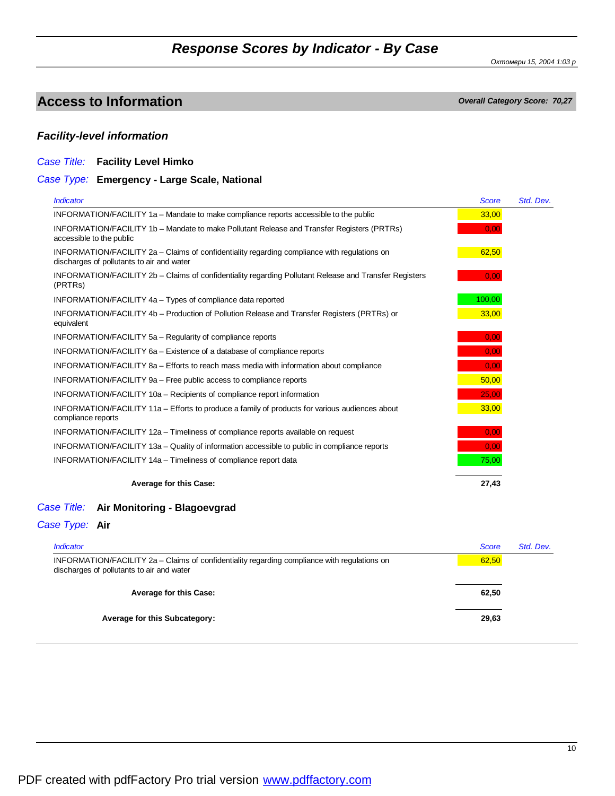*Октомври 15, 2004 1:03 p*

## **Access to Information** *Overall Category Score: 70,27*

### *Facility-level information*

#### *Case Title:* **Facility Level Himko**

#### *Case Type:* **Emergency - Large Scale, National**

| <b>Indicator</b>                                                                                                                          | <b>Score</b> | Std. Dev. |
|-------------------------------------------------------------------------------------------------------------------------------------------|--------------|-----------|
| INFORMATION/FACILITY 1a - Mandate to make compliance reports accessible to the public                                                     | 33,00        |           |
| INFORMATION/FACILITY 1b - Mandate to make Pollutant Release and Transfer Registers (PRTRs)<br>accessible to the public                    | 0,00         |           |
| INFORMATION/FACILITY 2a – Claims of confidentiality regarding compliance with regulations on<br>discharges of pollutants to air and water | 62,50        |           |
| INFORMATION/FACILITY 2b – Claims of confidentiality regarding Pollutant Release and Transfer Registers<br>(PRTR <sub>s</sub> )            | 0,00         |           |
| INFORMATION/FACILITY 4a - Types of compliance data reported                                                                               | 100,00       |           |
| INFORMATION/FACILITY 4b – Production of Pollution Release and Transfer Registers (PRTRs) or<br>equivalent                                 | 33,00        |           |
| INFORMATION/FACILITY 5a - Regularity of compliance reports                                                                                | 0,00         |           |
| INFORMATION/FACILITY 6a – Existence of a database of compliance reports                                                                   | 0.00         |           |
| INFORMATION/FACILITY 8a – Efforts to reach mass media with information about compliance                                                   | 0,00         |           |
| INFORMATION/FACILITY 9a - Free public access to compliance reports                                                                        | 50,00        |           |
| INFORMATION/FACILITY 10a - Recipients of compliance report information                                                                    | 25,00        |           |
| INFORMATION/FACILITY 11a - Efforts to produce a family of products for various audiences about<br>compliance reports                      | 33,00        |           |
| INFORMATION/FACILITY 12a - Timeliness of compliance reports available on request                                                          | 0,00         |           |
| INFORMATION/FACILITY 13a - Quality of information accessible to public in compliance reports                                              | 0,00         |           |
| INFORMATION/FACILITY 14a – Timeliness of compliance report data                                                                           | 75,00        |           |
| <b>Average for this Case:</b>                                                                                                             | 27,43        |           |

#### *Case Title:* **Air Monitoring - Blagoevgrad**

#### *Case Type:* **Air**

| <i><b>Indicator</b></i>                                                                                                                   | <b>Score</b> | Std. Dev. |
|-------------------------------------------------------------------------------------------------------------------------------------------|--------------|-----------|
| INFORMATION/FACILITY 2a - Claims of confidentiality regarding compliance with regulations on<br>discharges of pollutants to air and water | 62,50        |           |
| <b>Average for this Case:</b>                                                                                                             | 62,50        |           |
| <b>Average for this Subcategory:</b>                                                                                                      | 29,63        |           |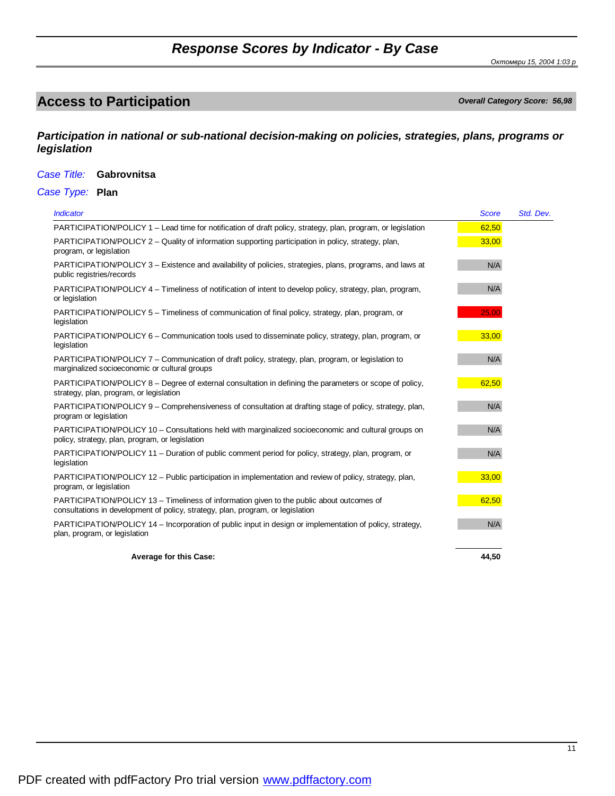*Октомври 15, 2004 1:03 p*

# **Access to Participation** *Overall Category Score: 56,98*

*Participation in national or sub-national decision-making on policies, strategies, plans, programs or legislation*

#### *Case Title:* **Gabrovnitsa**

*Case Type:* **Plan**

| <b>Indicator</b>                                                                                                                                                             | <b>Score</b> | Std. Dev. |
|------------------------------------------------------------------------------------------------------------------------------------------------------------------------------|--------------|-----------|
| PARTICIPATION/POLICY 1 - Lead time for notification of draft policy, strategy, plan, program, or legislation                                                                 | 62,50        |           |
| PARTICIPATION/POLICY 2 – Quality of information supporting participation in policy, strategy, plan,<br>program, or legislation                                               | 33,00        |           |
| PARTICIPATION/POLICY 3 – Existence and availability of policies, strategies, plans, programs, and laws at<br>public registries/records                                       | N/A          |           |
| PARTICIPATION/POLICY 4 – Timeliness of notification of intent to develop policy, strategy, plan, program,<br>or legislation                                                  | N/A          |           |
| PARTICIPATION/POLICY 5 – Timeliness of communication of final policy, strategy, plan, program, or<br>legislation                                                             | 25,00        |           |
| PARTICIPATION/POLICY 6 – Communication tools used to disseminate policy, strategy, plan, program, or<br>legislation                                                          | 33,00        |           |
| PARTICIPATION/POLICY 7 - Communication of draft policy, strategy, plan, program, or legislation to<br>marginalized socioeconomic or cultural groups                          | N/A          |           |
| PARTICIPATION/POLICY 8 – Degree of external consultation in defining the parameters or scope of policy,<br>strategy, plan, program, or legislation                           | 62,50        |           |
| PARTICIPATION/POLICY 9 - Comprehensiveness of consultation at drafting stage of policy, strategy, plan,<br>program or legislation                                            | N/A          |           |
| PARTICIPATION/POLICY 10 - Consultations held with marginalized socioeconomic and cultural groups on<br>policy, strategy, plan, program, or legislation                       | N/A          |           |
| PARTICIPATION/POLICY 11 – Duration of public comment period for policy, strategy, plan, program, or<br>legislation                                                           | N/A          |           |
| PARTICIPATION/POLICY 12 - Public participation in implementation and review of policy, strategy, plan,<br>program, or legislation                                            | 33,00        |           |
| PARTICIPATION/POLICY 13 - Timeliness of information given to the public about outcomes of<br>consultations in development of policy, strategy, plan, program, or legislation | 62,50        |           |
| PARTICIPATION/POLICY 14 – Incorporation of public input in design or implementation of policy, strategy,<br>plan, program, or legislation                                    | N/A          |           |
| <b>Average for this Case:</b>                                                                                                                                                | 44,50        |           |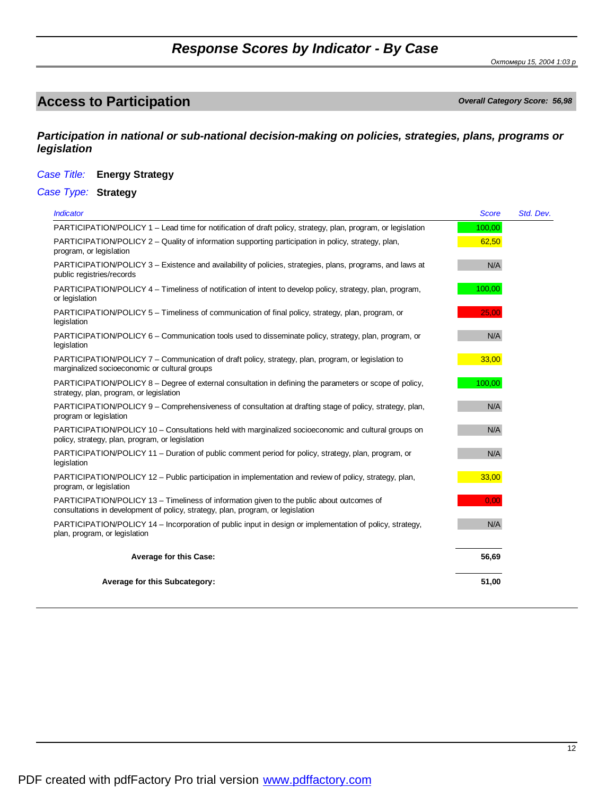*Октомври 15, 2004 1:03 p*

# **Access to Participation** *Overall Category Score: 56,98*

*Participation in national or sub-national decision-making on policies, strategies, plans, programs or legislation*

#### *Case Title:* **Energy Strategy**

*Case Type:* **Strategy**

| <b>Indicator</b>                                                                                                                                                             | <b>Score</b> | Std. Dev. |
|------------------------------------------------------------------------------------------------------------------------------------------------------------------------------|--------------|-----------|
| PARTICIPATION/POLICY 1 - Lead time for notification of draft policy, strategy, plan, program, or legislation                                                                 | 100,00       |           |
| PARTICIPATION/POLICY 2 - Quality of information supporting participation in policy, strategy, plan,<br>program, or legislation                                               | 62,50        |           |
| PARTICIPATION/POLICY 3 – Existence and availability of policies, strategies, plans, programs, and laws at<br>public registries/records                                       | N/A          |           |
| PARTICIPATION/POLICY 4 - Timeliness of notification of intent to develop policy, strategy, plan, program,<br>or legislation                                                  | 100,00       |           |
| PARTICIPATION/POLICY 5 - Timeliness of communication of final policy, strategy, plan, program, or<br>legislation                                                             | 25.00        |           |
| PARTICIPATION/POLICY 6 – Communication tools used to disseminate policy, strategy, plan, program, or<br>legislation                                                          | N/A          |           |
| PARTICIPATION/POLICY 7 – Communication of draft policy, strategy, plan, program, or legislation to<br>marginalized socioeconomic or cultural groups                          | 33,00        |           |
| PARTICIPATION/POLICY 8 – Degree of external consultation in defining the parameters or scope of policy,<br>strategy, plan, program, or legislation                           | 100,00       |           |
| PARTICIPATION/POLICY 9 – Comprehensiveness of consultation at drafting stage of policy, strategy, plan,<br>program or legislation                                            | N/A          |           |
| PARTICIPATION/POLICY 10 – Consultations held with marginalized socioeconomic and cultural groups on<br>policy, strategy, plan, program, or legislation                       | N/A          |           |
| PARTICIPATION/POLICY 11 – Duration of public comment period for policy, strategy, plan, program, or<br>legislation                                                           | N/A          |           |
| PARTICIPATION/POLICY 12 – Public participation in implementation and review of policy, strategy, plan,<br>program, or legislation                                            | 33,00        |           |
| PARTICIPATION/POLICY 13 – Timeliness of information given to the public about outcomes of<br>consultations in development of policy, strategy, plan, program, or legislation | 0,00         |           |
| PARTICIPATION/POLICY 14 – Incorporation of public input in design or implementation of policy, strategy,<br>plan, program, or legislation                                    | N/A          |           |
| <b>Average for this Case:</b>                                                                                                                                                | 56,69        |           |
| Average for this Subcategory:                                                                                                                                                | 51,00        |           |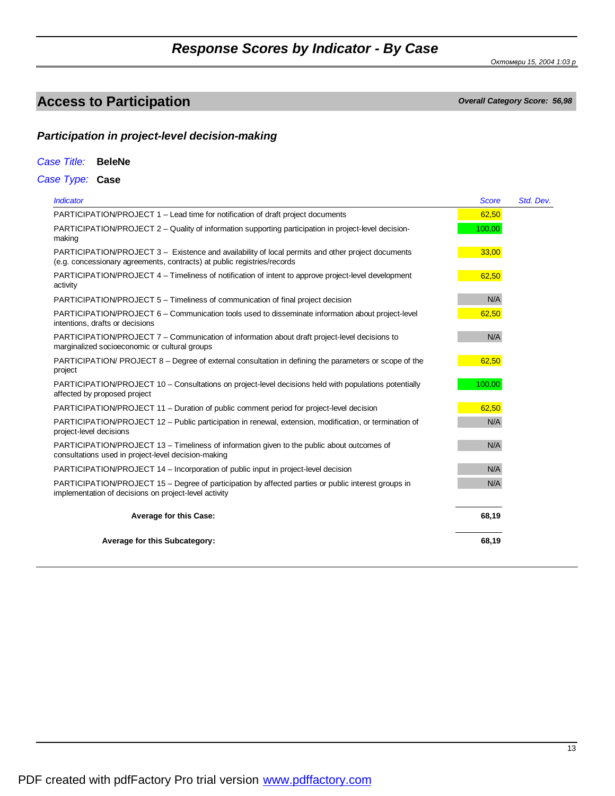*Октомври 15, 2004 1:03 p*

# **Access to Participation** *Overall Category Score: 56,98*

### *Participation in project-level decision-making*

| Case Title: |  | <b>BeleNe</b> |
|-------------|--|---------------|
|-------------|--|---------------|

*Case Type:* **Case**

| <b>Indicator</b>                                                                                                                                                             | <b>Score</b> | Std. Dev. |
|------------------------------------------------------------------------------------------------------------------------------------------------------------------------------|--------------|-----------|
| PARTICIPATION/PROJECT 1 – Lead time for notification of draft project documents                                                                                              | 62,50        |           |
| PARTICIPATION/PROJECT 2 – Quality of information supporting participation in project-level decision-<br>making                                                               | 100,00       |           |
| PARTICIPATION/PROJECT 3 - Existence and availability of local permits and other project documents<br>(e.g. concessionary agreements, contracts) at public registries/records | 33,00        |           |
| PARTICIPATION/PROJECT 4 – Timeliness of notification of intent to approve project-level development<br>activity                                                              | 62,50        |           |
| PARTICIPATION/PROJECT 5 - Timeliness of communication of final project decision                                                                                              | N/A          |           |
| PARTICIPATION/PROJECT 6 – Communication tools used to disseminate information about project-level<br>intentions, drafts or decisions                                         | 62,50        |           |
| PARTICIPATION/PROJECT 7 - Communication of information about draft project-level decisions to<br>marginalized socioeconomic or cultural groups                               | N/A          |           |
| PARTICIPATION/ PROJECT 8 - Degree of external consultation in defining the parameters or scope of the<br>project                                                             | 62,50        |           |
| PARTICIPATION/PROJECT 10 - Consultations on project-level decisions held with populations potentially<br>affected by proposed project                                        | 100,00       |           |
| PARTICIPATION/PROJECT 11 - Duration of public comment period for project-level decision                                                                                      | 62,50        |           |
| PARTICIPATION/PROJECT 12 - Public participation in renewal, extension, modification, or termination of<br>project-level decisions                                            | N/A          |           |
| PARTICIPATION/PROJECT 13 - Timeliness of information given to the public about outcomes of<br>consultations used in project-level decision-making                            | N/A          |           |
| PARTICIPATION/PROJECT 14 – Incorporation of public input in project-level decision                                                                                           | N/A          |           |
| PARTICIPATION/PROJECT 15 - Degree of participation by affected parties or public interest groups in<br>implementation of decisions on project-level activity                 | N/A          |           |
| <b>Average for this Case:</b>                                                                                                                                                | 68,19        |           |
| <b>Average for this Subcategory:</b>                                                                                                                                         | 68,19        |           |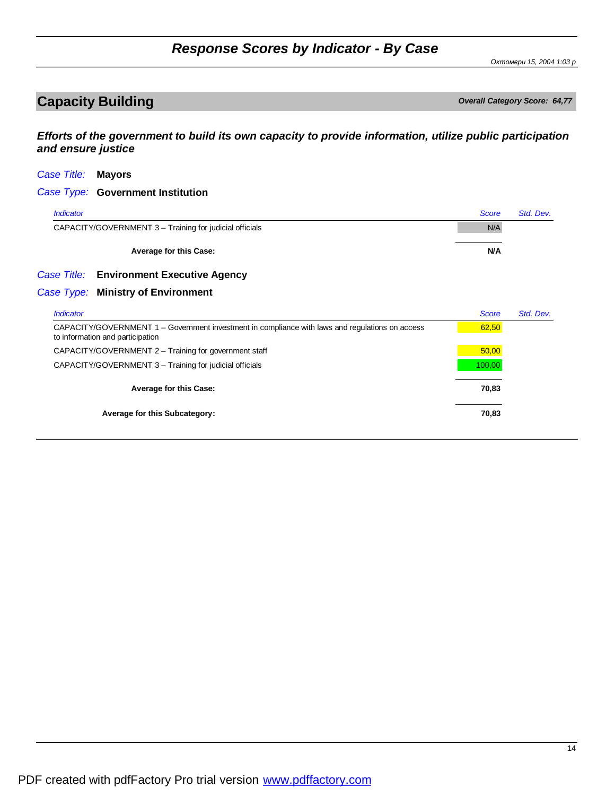*Октомври 15, 2004 1:03 p*

# **Capacity Building** *Capacity Building*

*Efforts of the government to build its own capacity to provide information, utilize public participation and ensure justice*

| Case Title:      | <b>Mayors</b>                                                                                                                       |              |           |
|------------------|-------------------------------------------------------------------------------------------------------------------------------------|--------------|-----------|
|                  | Case Type: Government Institution                                                                                                   |              |           |
| <b>Indicator</b> |                                                                                                                                     | <b>Score</b> | Std. Dev. |
|                  | CAPACITY/GOVERNMENT 3 - Training for judicial officials                                                                             | N/A          |           |
|                  | <b>Average for this Case:</b>                                                                                                       | <b>N/A</b>   |           |
|                  | Case Title: Environment Executive Agency                                                                                            |              |           |
|                  | Case Type: Ministry of Environment                                                                                                  |              |           |
| <b>Indicator</b> |                                                                                                                                     | <b>Score</b> | Std. Dev. |
|                  | CAPACITY/GOVERNMENT 1 - Government investment in compliance with laws and regulations on access<br>to information and participation | 62,50        |           |
|                  | CAPACITY/GOVERNMENT 2 - Training for government staff                                                                               | 50,00        |           |
|                  | CAPACITY/GOVERNMENT 3 - Training for judicial officials                                                                             | 100,00       |           |
|                  | <b>Average for this Case:</b>                                                                                                       | 70,83        |           |
|                  | Average for this Subcategory:                                                                                                       | 70,83        |           |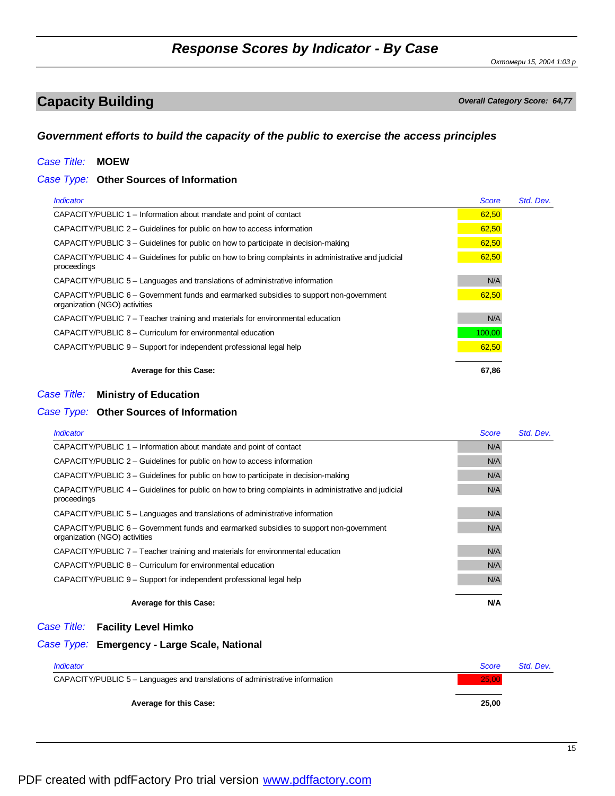*Октомври 15, 2004 1:03 p*

# **Capacity Building** *Capacity Building*

### *Government efforts to build the capacity of the public to exercise the access principles*

### *Case Title:* **MOEW**

### *Case Type:* **Other Sources of Information**

| <i><u><b>Indicator</b></u></i>                                                                                          | <b>Score</b> | Std. Dev. |
|-------------------------------------------------------------------------------------------------------------------------|--------------|-----------|
| CAPACITY/PUBLIC 1 – Information about mandate and point of contact                                                      | 62,50        |           |
| CAPACITY/PUBLIC 2 – Guidelines for public on how to access information                                                  | 62,50        |           |
| CAPACITY/PUBLIC 3 – Guidelines for public on how to participate in decision-making                                      | 62,50        |           |
| CAPACITY/PUBLIC 4 – Guidelines for public on how to bring complaints in administrative and judicial<br>proceedings      | 62,50        |           |
| CAPACITY/PUBLIC 5 – Languages and translations of administrative information                                            | N/A          |           |
| CAPACITY/PUBLIC 6 – Government funds and earmarked subsidies to support non-government<br>organization (NGO) activities | 62,50        |           |
| CAPACITY/PUBLIC 7 – Teacher training and materials for environmental education                                          | N/A          |           |
| CAPACITY/PUBLIC 8 – Curriculum for environmental education                                                              | 100,00       |           |
| CAPACITY/PUBLIC 9 – Support for independent professional legal help                                                     | 62,50        |           |
| <b>Average for this Case:</b>                                                                                           | 67,86        |           |

#### *Case Title:* **Ministry of Education**

### *Case Type:* **Other Sources of Information**

| <i><u><b>Indicator</b></u></i>                                                                                          | <b>Score</b> | Std. Dev. |
|-------------------------------------------------------------------------------------------------------------------------|--------------|-----------|
| CAPACITY/PUBLIC 1 – Information about mandate and point of contact                                                      | N/A          |           |
| CAPACITY/PUBLIC $2$ – Guidelines for public on how to access information                                                | N/A          |           |
| CAPACITY/PUBLIC 3 – Guidelines for public on how to participate in decision-making                                      | N/A          |           |
| CAPACITY/PUBLIC 4 – Guidelines for public on how to bring complaints in administrative and judicial<br>proceedings      | N/A          |           |
| CAPACITY/PUBLIC 5 – Languages and translations of administrative information                                            | N/A          |           |
| CAPACITY/PUBLIC 6 – Government funds and earmarked subsidies to support non-government<br>organization (NGO) activities | N/A          |           |
| CAPACITY/PUBLIC 7 – Teacher training and materials for environmental education                                          | N/A          |           |
| CAPACITY/PUBLIC 8 – Curriculum for environmental education                                                              | N/A          |           |
| CAPACITY/PUBLIC 9 – Support for independent professional legal help                                                     | N/A          |           |
| <b>Average for this Case:</b>                                                                                           | <b>N/A</b>   |           |

#### *Case Title:* **Facility Level Himko**

#### *Case Type:* **Emergency - Large Scale, National**

| <i><b>Indicator</b></i>                                                      | Score | Std. Dev. |
|------------------------------------------------------------------------------|-------|-----------|
| CAPACITY/PUBLIC 5 – Languages and translations of administrative information | 25,00 |           |
|                                                                              |       |           |
| <b>Average for this Case:</b>                                                | 25,00 |           |